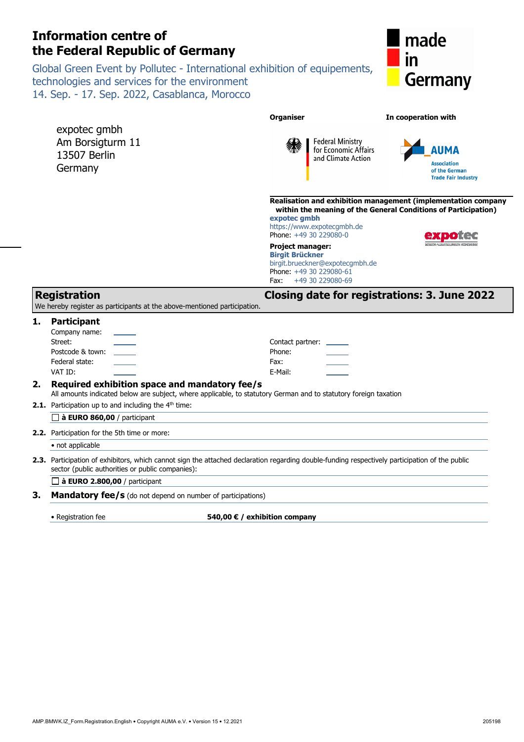# **Information centre of the Federal Republic of Germany**

Global Green Event by Pollutec - International exhibition of equipements, technologies and services for the environment 14. Sep. - 17. Sep. 2022, Casablanca, Morocco



|                                                                                                                                                                                                                                          |                                                                                                 | <b>Organiser</b>                                                                                                                                                                                             | In cooperation with                                                                                                                                              |  |  |  |
|------------------------------------------------------------------------------------------------------------------------------------------------------------------------------------------------------------------------------------------|-------------------------------------------------------------------------------------------------|--------------------------------------------------------------------------------------------------------------------------------------------------------------------------------------------------------------|------------------------------------------------------------------------------------------------------------------------------------------------------------------|--|--|--|
|                                                                                                                                                                                                                                          | expotec gmbh<br>Am Borsigturm 11<br>13507 Berlin<br>Germany                                     | <b>Federal Ministry</b><br>for Economic Affairs<br>and Climate Action                                                                                                                                        | AUMA<br><b>Association</b><br>of the German<br><b>Trade Fair Industry</b>                                                                                        |  |  |  |
|                                                                                                                                                                                                                                          |                                                                                                 | expotec qmbh<br>https://www.expotecgmbh.de<br>Phone: +49 30 229080-0<br>Project manager:<br><b>Birgit Brückner</b><br>birgit.brueckner@expotecgmbh.de<br>Phone: +49 30 229080-61<br>+49 30 229080-69<br>Fax: | Realisation and exhibition management (implementation company<br>within the meaning of the General Conditions of Participation)<br>MESSEN ALBSTELLUNGEN KONGRESS |  |  |  |
|                                                                                                                                                                                                                                          | <b>Registration</b><br>We hereby register as participants at the above-mentioned participation. |                                                                                                                                                                                                              | <b>Closing date for registrations: 3. June 2022</b>                                                                                                              |  |  |  |
| 1.                                                                                                                                                                                                                                       | Participant<br>Company name:<br>Street:<br>Postcode & town:<br>Federal state:<br>VAT ID:        | Contact partner:<br>Phone:<br>Fax:<br>E-Mail:                                                                                                                                                                |                                                                                                                                                                  |  |  |  |
| Required exhibition space and mandatory fee/s<br>2.<br>All amounts indicated below are subject, where applicable, to statutory German and to statutory foreign taxation<br><b>2.1.</b> Participation up to and including the $4th$ time: |                                                                                                 |                                                                                                                                                                                                              |                                                                                                                                                                  |  |  |  |
|                                                                                                                                                                                                                                          | $\Box$ à EURO 860,00 / participant                                                              |                                                                                                                                                                                                              |                                                                                                                                                                  |  |  |  |
|                                                                                                                                                                                                                                          | 2.2. Participation for the 5th time or more:                                                    |                                                                                                                                                                                                              |                                                                                                                                                                  |  |  |  |
|                                                                                                                                                                                                                                          | • not applicable                                                                                |                                                                                                                                                                                                              |                                                                                                                                                                  |  |  |  |
|                                                                                                                                                                                                                                          | sector (public authorities or public companies):                                                | 2.3. Participation of exhibitors, which cannot sign the attached declaration regarding double-funding respectively participation of the public                                                               |                                                                                                                                                                  |  |  |  |
|                                                                                                                                                                                                                                          | $\Box$ à EURO 2.800,00 / participant                                                            |                                                                                                                                                                                                              |                                                                                                                                                                  |  |  |  |
| 3.                                                                                                                                                                                                                                       | <b>Mandatory fee/s</b> (do not depend on number of participations)                              |                                                                                                                                                                                                              |                                                                                                                                                                  |  |  |  |
|                                                                                                                                                                                                                                          | • Registration fee                                                                              | 540,00 € / exhibition company                                                                                                                                                                                |                                                                                                                                                                  |  |  |  |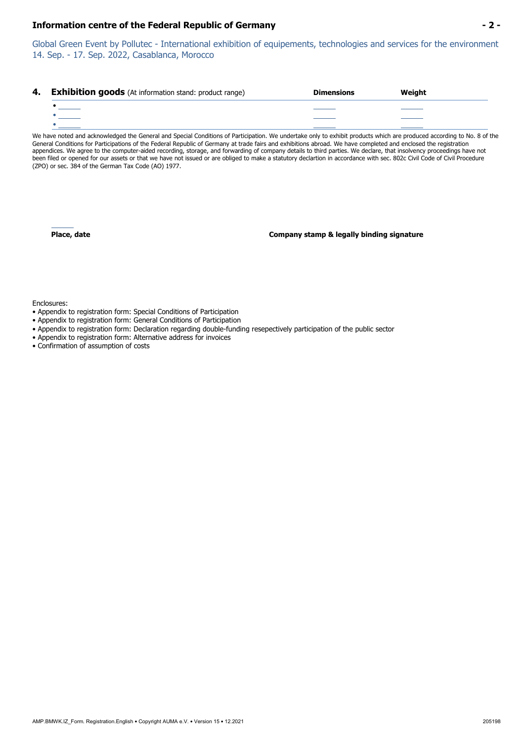#### **Information centre of the Federal Republic of Germany - 2 -**

Global Green Event by Pollutec - International exhibition of equipements, technologies and services for the environment 14. Sep. - 17. Sep. 2022, Casablanca, Morocco

| 4. Exhibition goods (At information stand: product range) | <b>Dimensions</b> | Weight |
|-----------------------------------------------------------|-------------------|--------|
|                                                           |                   |        |
| and the control of the control of                         |                   |        |
|                                                           |                   |        |

We have noted and acknowledged the General and Special Conditions of Participation. We undertake only to exhibit products which are produced according to No. 8 of the General Conditions for Participations of the Federal Republic of Germany at trade fairs and exhibitions abroad. We have completed and enclosed the registration appendices. We agree to the computer-aided recording, storage, and forwarding of company details to third parties. We declare, that insolvency proceedings have not been filed or opened for our assets or that we have not issued or are obliged to make a statutory declartion in accordance with sec. 802c Civil Code of Civil Procedure (ZPO) or sec. 384 of the German Tax Code (AO) 1977.

**Place, date Company stamp & legally binding signature**

Enclosures:

- Appendix to registration form: Special Conditions of Participation
- Appendix to registration form: General Conditions of Participation
- Appendix to registration form: Declaration regarding double-funding resepectively participation of the public sector
- Appendix to registration form: Alternative address for invoices
- Confirmation of assumption of costs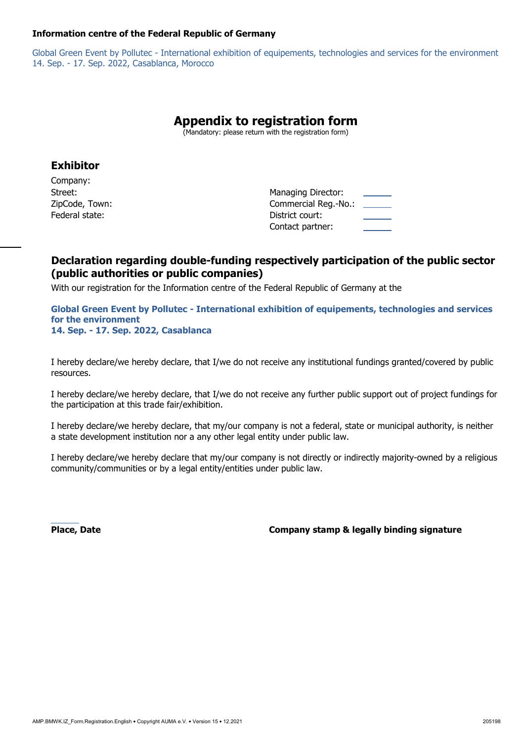#### **Information centre of the Federal Republic of Germany**

Global Green Event by Pollutec - International exhibition of equipements, technologies and services for the environment 14. Sep. - 17. Sep. 2022, Casablanca, Morocco

## **Appendix to registration form**

(Mandatory: please return with the registration form)

### **Exhibitor**

Company: Federal state:  $\blacksquare$ 

Street: **Managing Director:** Managing Director: ZipCode, Town: Commercial Reg.-No.: Contact partner:

## **Declaration regarding double-funding respectively participation of the public sector (public authorities or public companies)**

With our registration for the Information centre of the Federal Republic of Germany at the

**Global Green Event by Pollutec - International exhibition of equipements, technologies and services for the environment 14. Sep. - 17. Sep. 2022, Casablanca** 

I hereby declare/we hereby declare, that I/we do not receive any institutional fundings granted/covered by public resources.

I hereby declare/we hereby declare, that I/we do not receive any further public support out of project fundings for the participation at this trade fair/exhibition.

I hereby declare/we hereby declare, that my/our company is not a federal, state or municipal authority, is neither a state development institution nor a any other legal entity under public law.

I hereby declare/we hereby declare that my/our company is not directly or indirectly majority-owned by a religious community/communities or by a legal entity/entities under public law.

 **Place, Date Company stamp & legally binding signature**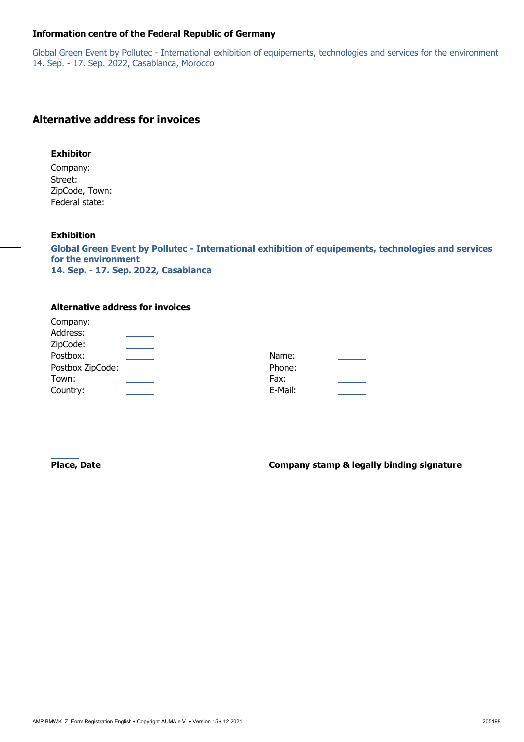#### **Information centre of the Federal Republic of Germany**

Global Green Event by Pollutec - International exhibition of equipements, technologies and services for the environment 14. Sep. - 17. Sep. 2022, Casablanca, Morocco

## **Alternative address for invoices**

#### **Exhibitor**

Company: Street: ZipCode, Town: Federal state:

#### **Exhibition**

Company:

**Global Green Event by Pollutec - International exhibition of equipements, technologies and services for the environment 14. Sep. - 17. Sep. 2022, Casablanca** 

#### **Alternative address for invoices**

| Company.         |         |  |
|------------------|---------|--|
| Address:         |         |  |
| ZipCode:         |         |  |
| Postbox:         | Name:   |  |
| Postbox ZipCode: | Phone:  |  |
| Town:            | Fax:    |  |
| Country:         | E-Mail: |  |
|                  |         |  |

**Place, Date Company stamp & legally binding signature**  $\blacksquare$